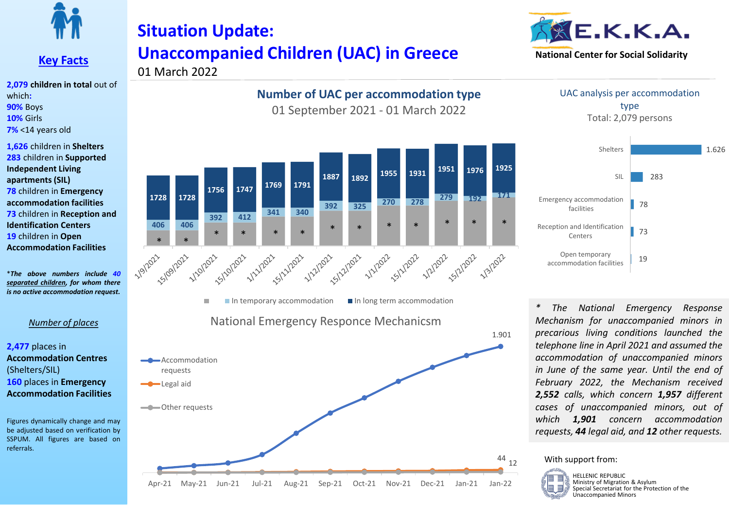

### **Key Facts**

**2,079 children in total** out of which**: 90%** Boys **10%** Girls **7%** <14 years old

**1,626** children in **Shelters 283** children in **Supported Independent Living apartments (SIL) 78** children in **Emergency accommodation facilities 73** children in **Reception and Identification Centers 19** children in **Open Accommodation Facilities**

\**The above numbers include 40 separated children, for whom there is no active accommodation request.*

#### *Number of places*

**2,477** places in **Accommodation Centres** (Shelters/SIL) **160** places in **Emergency Accommodation Facilities**

Figures dynamically change and may be adjusted based on verification by SSPUM. All figures are based on referrals.

# **Situation Update: Unaccompanied Children (UAC) in Greece**  01 March 2022



### **Number of UAC per accommodation type**

01 September 2021 - 01 March 2022



Apr-21 May-21 Jun-21 Jul-21 Aug-21 Sep-21 Oct-21 Nov-21 Dec-21 Jan-21 Jan-22

UAC analysis per accommodation type Total: 2,079 persons



*\* The National Emergency Response Mechanism for unaccompanied minors in precarious living conditions launched the telephone line in April 2021 and assumed the accommodation of unaccompanied minors in June of the same year. Until the end of February 2022, the Mechanism received 2,552 calls, which concern 1,957 different cases of unaccompanied minors, out of which 1,901 concern accommodation requests, 44 legal aid, and 12 other requests.*

#### With support from:

44 12

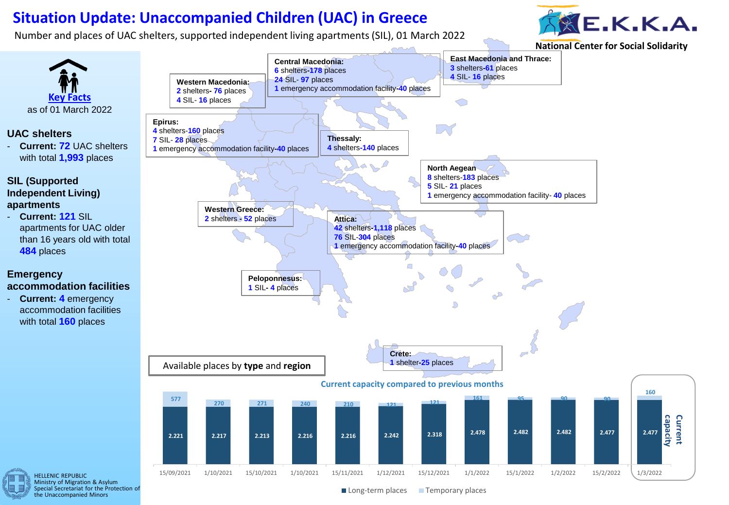## **Situation Update: Unaccompanied Children (UAC) in Greece**

Number and places of UAC shelters, supported independent living apartments (SIL), 01 March 2022



**National Center for Social Solidarity**



 $\blacksquare$  Long-term places  $\blacksquare$  Temporary places

Ministry of Migration & Asylum Special Secretariat for the Protection of the Unaccompanied Minors